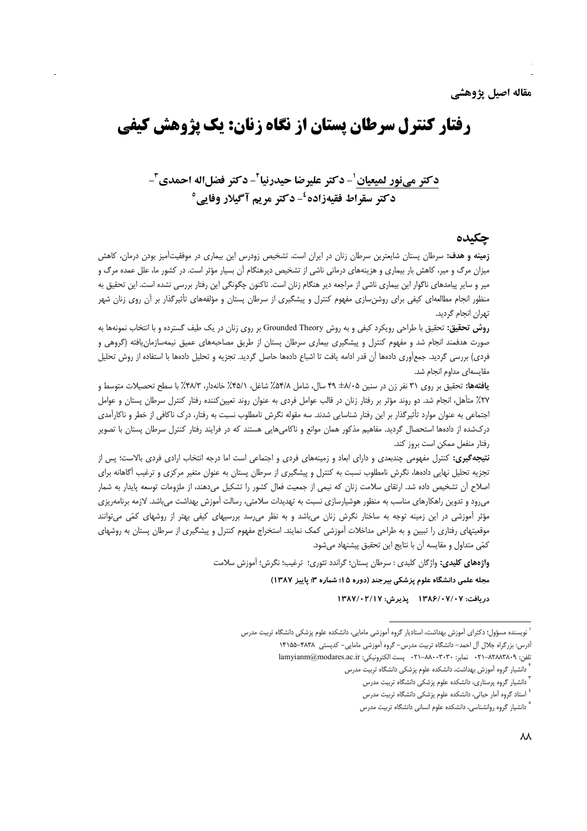# **رفتار کنترل سرطان پستان از نگاه زنان: یک پژوهش کیفی**

# دكتر مي نور لميعيان '- دكتر عليرضا حيدرنيا ّ- دكتر فضل اله احمدي "-**دکتر سقراط فقیهزاده<sup>ئ</sup>-دکتر مریم آگیلار وفایی°**

### حكىدە

**زمینه و هدف:** سرطان پستان شایعترین سرطان زنان در ایران است. تشخیص زودرس این بیماری در موفقیتآمیز بودن درمان، کاهش میزان مرگ و میر، کاهش بار بیماری و هزینههای درمانی ناشی از تشخیص دیرهنگام آن بسیار مؤثر است. در کشور ما، علل عمده مرگ و میر و سایر پیامدهای ناگوار این بیماری ناشی از مراجعه دیر هنگام زنان است. تاکنون چگونگی این رفتار بررسی نشده است. این تحقیق به منظور انجام مطالعهای کیفی برای روشن<code>سازی</code> مفهوم کنترل و پیشگیری از سرطان پستان و مؤلفههای تأثیرگذار بر آن روی زنان شهر تھران انحام گردید.

**روش تحقیق:** تحقیق با طراحی رویکرد کیفی و به روش Grounded Theory بر روی زنان در یک طیف گسترده و با انتخاب نمونهها به صورت هدفمند انجام شد و مفهوم كنترل و پیشگیری بیماری سرطان پستان از طریق مصاحبههای عمیق نیمهسازمان یافته (گروهی و فردي) بررسي گرديد. جمع[وري دادهها آن قدر ادامه يافت تا اشباع دادهها حاصل گرديد. تجزيه و تحليل دادهها با استفاده از روش تحليل مقايسەاي مداوم انجام شد.

يافتهها: تحقيق بر روى ٣١ نفر زن در سنين ٢٠٨٤هـ ۴٩ سال، شامل ٥۴/٨٪، شاغل، ٤٨/١٪ خانهدار، ٢٨/٣٪ با سطح تحصيلات متوسط و ۲۷٪ متأهل، انجام شد. دو روند مؤثر بر رفتار زنان در قالب عوامل فردی به عنوان روند تعیینکننده رفتار کنترل سرطان پستان و عوامل اجتماعی به عنوان موارد تأثیرگذار بر این رفتار شناسایی شدند. سه مقوله نگرش نامطلوب نسبت به رفتار، درک ناکافی از خطر و ناکارآمدی درکشده از دادهها استحصال گردید. مفاهیم مذکور همان موانع و ناکامیهایی هستند که در فرایند رفتار کنترل سرطان پستان با تصویر رفتار منفعل ممكن است بروز كند.

**نتیجه گیری:** کنترل مفهومی چندبعدی و دارای ابعاد و زمینههای فردی و اجتماعی است اما درجه انتخاب ارادی فردی بالاست؛ پس از تجزیه تحلیل نهایی دادهها، نگرش نامطلوب نسبت به کنترل و پیشگیری از سرطان پستان به عنوان متغیر مرکزی و ترغیب أگاهانه برای اصلاح أن تشخیص داده شد. ارتقای سلامت زنان که نیمی از جمعیت فعال کشور را تشکیل میدهند، از ملزومات توسعه پایدار به شمار می رود و تدوین راهکارهای مناسب به منظور هوشیارسازی نسبت به تهدیدات سلامتی، رسالت آموزش بهداشت می باشد. لازمه برنامهریزی مؤثر آموزشی در این زمینه توجه به ساختار نگرش زنان میباشد و به نظر می سد بررسیهای کیفی بهتر از روشهای کمّی میتوانند موقعیتهای رفتاری را تبیین و به طراحی مداخلات آموزشی کمک نمایند. استخراج مفهوم کنترل و پیشگیری از سرطان پستان به روشهای كمّى متداول و مقايسه آن با نتايج اين تحقيق پيشنهاد مى شود.

**واژههای کلیدی:** واژگان کلیدی : سرطان پستان؛ گراندد تئوری؛ ترغیب؛ نگرش؛ آموزش سلامت

مجله علمی دانشگاه علوم پزشکی بیرجند (دوره ۱۵؛ شماره ۳؛ پاییز ۱۳۸۷)

دريافت: ۱۳۸۶/۰۷/۰۷ \_ پذيرش: ۱۳۸۷/۰۲/۱۷

نویسنده مسؤول؛ دکترای آموزش بهداشت، استادیار گروه آموزشی مامایی، دانشکده علوم پزشکی دانشگاه تربیت مدرس

آدرس: بزرگراه جلال آل احمد– دانشگاه تربیت مدرس- گروه آموزشی مامایی- کدیستی ۴۸۳۸–۱۴۱۵۵

تلفن: ٨٢٨٨٣٨٠٩-٢١٠ نمابر: ٣٠٣٠-٢١٠ يست الكترونيكي: lamyianm@modares.ac.ir

دانشیار گروه آموزش بهداشت، دانشکده علوم پزشکی دانشگاه تربیت مدرس

دانشیار گروه پرستاری، دانشکده علوم پزشکی دانشگاه تربیت مدرس

<sup>&</sup>lt;sup>؛</sup> استاد گروه آمار حیاتی، دانشکده علوم پزشکی دانشگاه تربیت مدرس

<sup>&</sup>lt;sup>0</sup> دانشیار گروه روانشناسی، دانشکده علوم انسانی دانشگاه تربیت مدرس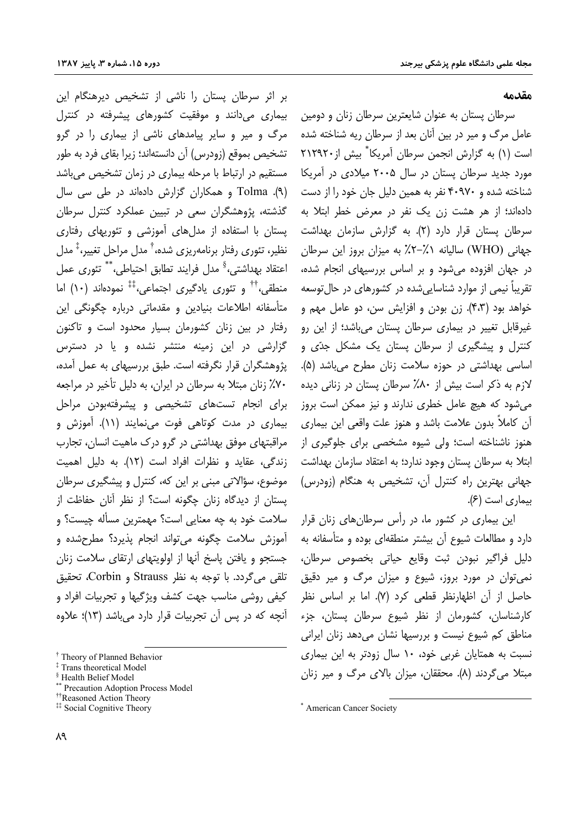#### مقدمه

سرطان پستان به عنوان شایعترین سرطان زنان و دومین عامل مرگ و میر در بین آنان بعد از سرطان ریه شناخته شده است (۱) به گزارش انجمن سرطان آمریکا ٌ بیش از ۲۱۲۹۲۰ مورد جدید سرطان پستان در سال ۲۰۰۵ میلادی در آمریکا شناخته شده و ۴۰۹۷۰ نفر به همین دلیل جان خود را از دست دادهاند؛ از هر هشت زن یک نفر در معرض خطر ابتلا به سرطان پستان قرار دارد (۲). به گزارش سازمان بهداشت جهاني (WHO) ساليانه ١٪-٢٪ به ميزان بروز اين سرطان در جهان افزوده می شود و بر اساس بررسیهای انجام شده، تقریباً نیمی از موارد شناسایی شده در کشورهای در حال توسعه خواهد بود (۴،۳). زن بودن و افزایش سن، دو عامل مهم و غیرقابل تغییر در بیماری سرطان پستان می باشد؛ از این رو کنترل و پیشگیری از سرطان پستان یک مشکل جدّی و اساسی بهداشتی در حوزه سلامت زنان مطرح می باشد (۵). لازم به ذکر است بیش از ۸۰٪ سرطان پستان در زنانی دیده می شود که هیچ عامل خطری ندارند و نیز ممکن است بروز آن كاملاً بدون علامت باشد و هنوز علت واقعى اين بيمارى هنوز ناشناخته است؛ ولی شیوه مشخصی برای جلوگیری از ابتلا به سرطان پستان وجود ندارد؛ به اعتقاد سازمان بهداشت جهانی بهترین راه کنترل آن، تشخیص به هنگام (زودرس) بیماری است (۶).

این بیماری در کشور ما، در رأس سرطان های زنان قرار دارد و مطالعات شیوع آن بیشتر منطقهای بوده و متأسفانه به دليل فراگير نبودن ثبت وقايع حياتي بخصوص سرطان، نمي توان در مورد بروز، شيوع و ميزان مرگ و مير دقيق حاصل از آن اظهارنظر قطعی کرد (۷). اما بر اساس نظر کارشناسان، کشورمان از نظر شیوع سرطان پستان، جزء مناطق کم شیوع نیست و بررسیها نشان میدهد زنان ایرانی نسبت به همتایان غربی خود، ۱۰ سال زودتر به این بیماری مبتلا می گردند (۸). محققان، میزان بالای مرگ و میر زنان

بر اثر سرطان پستان را ناشی از تشخیص دیرهنگام این بیماری میدانند و موفقیت کشورهای پیشرفته در کنترل مرگ و میر و سایر پیامدهای ناشی از بیماری را در گرو تشخیص بموقع (زودرس) آن دانستهاند؛ زیرا بقای فرد به طور مستقیم در ارتباط با مرحله بیماری در زمان تشخیص می باشد (۹). Tolma و همکاران گزارش دادهاند در طی سی سال گذشته، پژوهشگران سعی در تبیین عملکرد کنترل سرطان پستان با استفاده از مدلهای آموزشی و تئوریهای رفتاری نظیر، تئوری رفتار برنامهریزی شده،<sup>†</sup> مدل مراحل تغییر،<sup>‡</sup> مدل اعتقاد بهداشتي،<sup>§</sup> مدل فرايند تطابق احتياطي، \*\* تئوري عمل منطقی،'' و تئوری یادگیری اجتماعی،'' نمودهاند (۱۰) اما متأسفانه اطلاعات بنيادين و مقدماتي درباره چگونگي اين رفتار در بین زنان کشورمان بسیار محدود است و تاکنون گزارشی در این زمینه منتشر نشده و یا در دسترس پژوهشگران قرار نگرفته است. طبق بررسیهای به عمل آمده، ۷۰٪ زنان مبتلا به سرطان در ایران، به دلیل تأخیر در مراجعه برای انجام تستهای تشخیصی و پیشرفتهبودن مراحل بیماری در مدت کوتاهی فوت مینمایند (۱۱). آموزش و مراقبتهای موفق بهداشتی در گرو درک ماهیت انسان، تجارب زندگی، عقاید و نظرات افراد است (۱۲). به دلیل اهمیت موضوع، سؤالاتی مبنی بر این که، کنترل و پیشگیری سرطان یستان از دیدگاه زنان چگونه است؟ از نظر آنان حفاظت از سلامت خود به چه معنایی است؟ مهمترین مسأله چیست؟ و آموزش سلامت چگونه می تواند انجام پذیرد؟ مطرحشده و جستجو و یافتن پاسخ آنها از اولویتهای ارتقای سلامت زنان تلقى مى گردد. با توجه به نظر Strauss و Corbin، تحقيق کیفی روشی مناسب جهت کشف ویژگیها و تجربیات افراد و آنچه که در پس آن تجربیات قرار دارد می باشد (۱۳)؛ علاوه

<sup>\*</sup> American Cancer Society

<sup>&</sup>lt;sup>†</sup> Theory of Planned Behavior

<sup>&</sup>lt;sup>‡</sup> Trans theoretical Model

<sup>&</sup>lt;sup>§</sup> Health Belief Model

<sup>&</sup>lt;sup>\*</sup> Precaution Adoption Process Model

<sup>&</sup>lt;sup>††</sup>Reasoned Action Theory

<sup>&</sup>lt;sup>##</sup> Social Cognitive Theory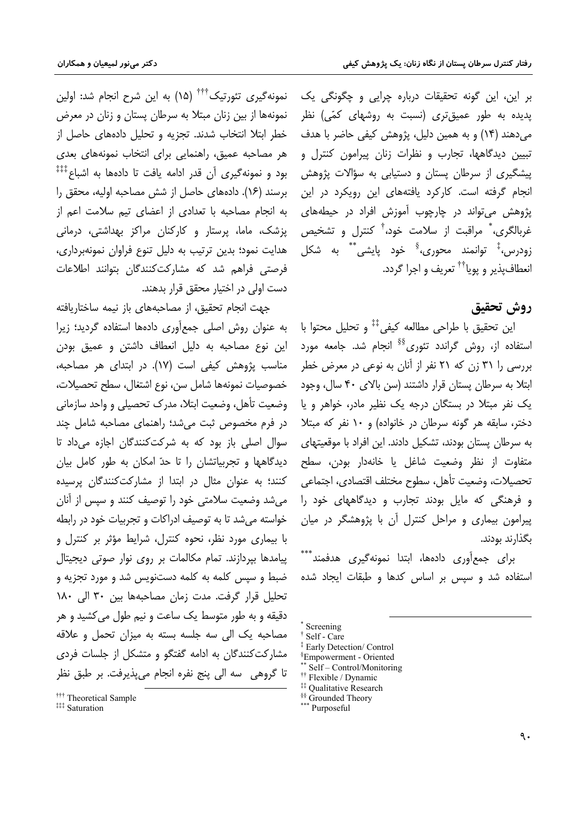نمونه گیری تئورتیک ٔٔ ٔٔ ٔ (۱۵) به این شرح انجام شد: اولین نمونهها از بین زنان مبتلا به سرطان پستان و زنان در معرض خطر ابتلا انتخاب شدند. تجزیه و تحلیل دادههای حاصل از هر مصاحبه عمیق، راهنمایی برای انتخاب نمونههای بعدی بود و نمونه گیری آن قدر ادامه یافت تا دادهها به اشباع $^{\ddagger\ddagger\ddagger}$ برسند (١۶). دادههای حاصل از شش مصاحبه اولیه، محقق را به انجام مصاحبه با تعدادی از اعضای تیم سلامت اعم از پزشک، ماما، پرستار و کارکنان مراکز بهداشتی، درمانی هدایت نمود؛ بدین ترتیب به دلیل تنوع فراوان نمونهبرداری، فرصتی فراهم شد که مشارکتکنندگان بتوانند اطلاعات دست اولی در اختیار محقق قرار بدهند.

جهت انجام تحقیق، از مصاحبههای باز نیمه ساختاریافته به عنوان روش اصلی جمع آوری دادهها استفاده گردید؛ زیرا این نوع مصاحبه به دلیل انعطاف داشتن و عمیق بودن مناسب پژوهش کیفی است (۱۷). در ابتدای هر مصاحبه، خصوصيات نمونهها شامل سن، نوع اشتغال، سطح تحصيلات، وضعیت تأهل، وضعیت ابتلا، مدرک تحصیلی و واحد سازمانی در فرم مخصوص ثبت می شد؛ راهنمای مصاحبه شامل چند سوال اصلی باز بود که به شرکتکنندگان اجازه میداد تا دیدگاهها و تجربیاتشان را تا حدّ امکان به طور کامل بیان کنند؛ به عنوان مثال در ابتدا از مشارکتکنندگان پرسیده می شد وضعیت سلامتی خود را توصیف کنند و سیس از آنان خواسته می شد تا به توصیف ادراکات و تجربیات خود در رابطه با بیماری مورد نظر، نحوه کنترل، شرایط مؤثر بر کنترل و پیامدها بیردازند. تمام مکالمات بر روی نوار صوتی دیجیتال ضبط و سپس کلمه به کلمه دستنویس شد و مورد تجزیه و تحليل قرار گرفت. مدت زمان مصاحبهها بين ٣٠ الى ١٨٠ دقیقه و به طور متوسط یک ساعت و نیم طول می کشید و هر مصاحبه یک الی سه جلسه بسته به میزان تحمل و علاقه مشارکتکنندگان به ادامه گفتگو و متشکل از جلسات فردی تا گروهي ٍ سه الي پنج نفره انجام مي پذيرفت. بر طبق نظر

بر این، این گونه تحقیقات درباره چرایی و چگونگی یک یدیده به طور عمیق *ت*ری (نسبت به روشهای کمّی) نظر مي دهند (١۴) و به همين دليل، پژوهش كيفي حاضر با هدف تبیین دیدگاهها، تجارب و نظرات زنان پیرامون کنترل و پیشگیری از سرطان پستان و دستیابی به سؤالات پژوهش انجام گرفته است. کارکرد یافتههای این رویکرد در این پژوهش می تواند در چارچوب آموزش افراد در حیطههای غربالگری، ٌ مراقبت از سلامت خود،<sup>†</sup> کنترل و تشخیص زودرس،<sup>‡</sup> توانمند محوری،<sup>§</sup> خود پایشی ٌ ٌ به شکل انعطاف پذير و يويا<sup>††</sup> تعريف و اجرا گردد.

# روش تحقيق

این تحقیق با طراحی مطالعه کیفی $^{\ddagger\ddagger}$  و تحلیل محتوا با استفاده از، روش گراندد تئوری<sup>§§</sup> انجام شد. جامعه مورد بررسی را ۳۱ زن که ۲۱ نفر از آنان به نوعی در معرض خطر ابتلا به سرطان يستان قرار داشتند (سن بالای ۴۰ سال، وجود یک نفر مبتلا در بستگان درجه یک نظیر مادر، خواهر و یا دختر، سابقه هر گونه سرطان در خانواده) و ۱۰ نفر که مبتلا به سرطان پستان بودند، تشکیل دادند. این افراد با موقعیتهای متفاوت از نظر وضعيت شاغل يا خانهدار بودن، سطح تحصيلات، وضعيت تأهل، سطوح مختلف اقتصادي، اجتماعي و فرهنگی که مایل بودند تجارب و دیدگاههای خود را پیرامون بیماری و مراحل کنترل آن با پژوهشگر در میان بگذارند بودند.

برای جمعآوری دادهها، ابتدا نمونهگیری هدفمند ٌ ۖ \* استفاده شد و سپس بر اساس کدها و طبقات ایجاد شده

<sup>&</sup>lt;sup>†††</sup> Theoretical Sample

**<sup>###</sup> Saturation** 

Screening

Self - Care

<sup>‡</sup> Early Detection/ Control

<sup>&</sup>lt;sup>§</sup>Empowerment - Oriented

Self - Control/Monitoring

<sup>&</sup>lt;sup>††</sup> Flexible / Dynamic <sup>##</sup> Qualitative Research

<sup>&</sup>lt;sup>§§</sup> Grounded Theory

<sup>\*\*\*</sup> Purposeful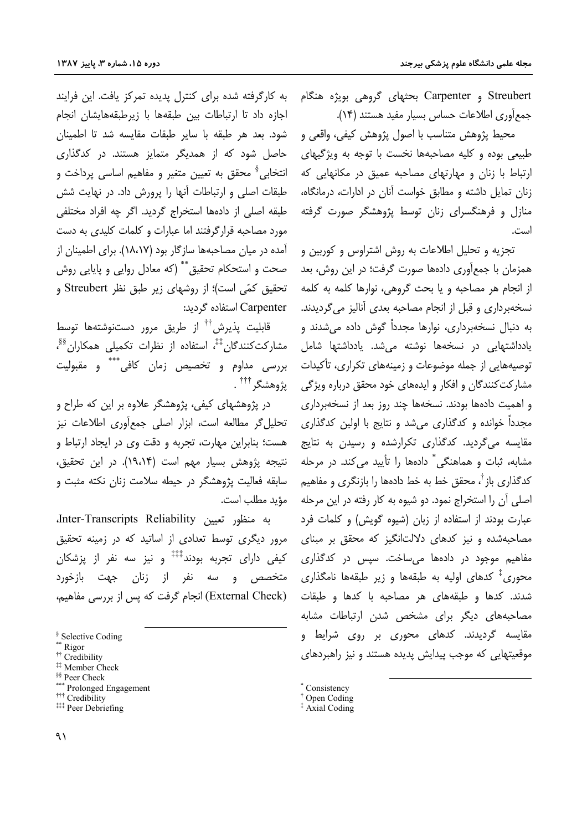Streubert و Carpenter بحثهای گروهی بویژه هنگام جمع آوري اطلاعات حساس بسيار مفيد هستند (١۴).

محيط پژوهش متناسب با اصول پژوهش كيفي، واقعي و طبیعی بوده و کلیه مصاحبهها نخست با توجه به ویژگیهای ارتباط با زنان و مهارتهای مصاحبه عمیق در مکانهایی که زنان تمایل داشته و مطابق خواست آنان در ادارات، درمانگاه، منازل و فرهنگسرای زنان توسط پژوهشگر صورت گرفته است.

تجزیه و تحلیل اطلاعات به روش اشتراوس و کوربین و همزمان با جمعآوری دادهها صورت گرفت؛ در این روش، بعد از انجام هر مصاحبه و یا بحث گروهی، نوارها کلمه به کلمه نسخهبرداری و قبل از انجام مصاحبه بعدی آنالیز می گردیدند. به دنبال نسخهبرداری، نوارها مجدداً گوش داده میشدند و یادداشتهایی در نسخهها نوشته می شد. یادداشتها شامل توصیههایی از جمله موضوعات و زمینههای تکراری، تأکیدات مشارکت کنندگان و افکار و ایدههای خود محقق درباره ویژگی و اهمیت دادهها بودند. نسخهها چند روز بعد از نسخهبرداری مجدداً خوانده و کدگذاری میشد و نتایج با اولین کدگذاری مقایسه می گردید. کدگذاری تکرارشده و رسیدن به نتایج مشابه، ثبات و هماهنگی ٌ دادهها را تأیید می کند. در مرحله کدگذاری باز <sup>۲</sup>، محقق خط به خط دادهها را بازنگری و مفاهیم اصلي آن را استخراج نمود. دو شيوه به كار رفته در اين مرحله عبارت بودند از استفاده از زبان (شیوه گویش) و کلمات فرد مصاحبهشده و نیز کدهای دلالتانگیز که محقق بر مبنای مفاهیم موجود در دادهها می ساخت. سیس در کدگذاری محوری<sup>‡</sup> کدهای اولیه به طبقهها و زیر طبقهها نامگذاری شدند. کدها و طبقههای هر مصاحبه با کدها و طبقات مصاحبههای دیگر برای مشخص شدن ارتباطات مشابه مقایسه گردیدند. کدهای محوری بر روی شرایط و موقعیتهایی که موجب پیدایش پدیده هستند و نیز راهبردهای

\* Consistency

به کارگرفته شده برای کنترل پدیده تمرکز یافت. این فرایند اجازه داد تا ارتباطات بين طبقهها با زيرطبقههايشان انجام شود. بعد هر طبقه با سایر طبقات مقایسه شد تا اطمینان حاصل شود که از همدیگر متمایز هستند. در کدگذاری انتخابي <sup>§</sup> محقق به تعيين متغير و مفاهيم اساسي پرداخت و طبقات اصلی و ارتباطات آنها را پرورش داد. در نهایت شش طبقه اصلی از دادهها استخراج گردید. اگر چه افراد مختلفی مورد مصاحبه قرارگرفتند اما عبارات و کلمات کلیدی به دست آمده در میان مصاحبهها سازگار بود (۱۸،۱۷). برای اطمینان از صحت و استحکام تحقیق ٌ ٌ (که معادل روایی و پایایی روش تحقیق کمّی است)؛ از روشهای زیر طبق نظر Streubert و Carpenter استفاده گردید:

قابلیت پذیرش<sup>††</sup> از طریق مرور دستنوشتهها توسط مشارکتکنندگان<sup>‡‡</sup>، استفاده از نظرات تکمیلی همکاران<sup>88</sup>، بررسی مداوم و تخصیص زمان کافی ٌ ٌ و مقبولیت ِن<sub>ْ </sub>وهشگ <sup>†††</sup>

در پژوهشهای کیفی، پژوهشگر علاوه بر این که طراح و تحليل گر مطالعه است، ابزار اصلى جمع آورى اطلاعات نيز هست؛ بنابراین مهارت، تجربه و دقت وی در ایجاد ارتباط و نتيجه پژوهش بسيار مهم است (۱۹،۱۴). در اين تحقيق، سابقه فعالیت پژوهشگر در حیطه سلامت زنان نکته مثبت و مؤيد مطلب است.

به منظور تعيين Inter-Transcripts Reliability مرور دیگری توسط تعدادی از اساتید که در زمینه تحقیق کیفی دارای تجربه بودند $\ddagger^{\ddagger\ddagger}$  و نیز سه نفر از پزشکان متخصص و سه نفر از زنان جهت بازخورد (External Check) انجام گرفت که پس از بررسی مفاهیم،

\*\* Rigor

<sup>&</sup>lt;sup>†</sup> Open Coding

<sup>‡</sup> Axial Coding

<sup>&</sup>lt;sup>§</sup> Selective Coding

<sup>&</sup>lt;sup>††</sup> Credibility <sup>##</sup> Member Check

<sup>§§</sup> Peer Check

<sup>\*\*\*</sup> Prolonged Engagement

<sup>&</sup>lt;sup>†††</sup> Credibility

<sup>###</sup> Peer Debriefing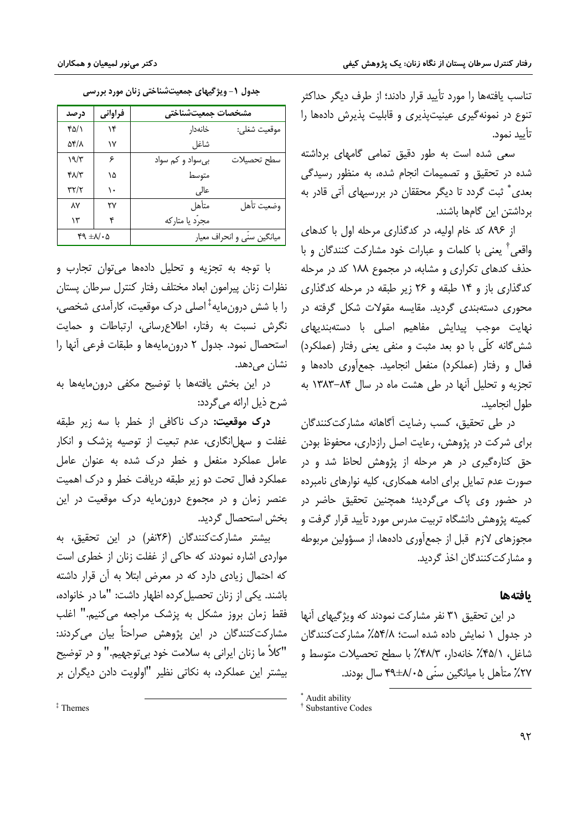$49 \pm 11.0$ 

تناسب یافتهها را مورد تأیید قرار دادند؛ از طرف دیگر حداکثر تنوع در نمونه گیری عینیت پذیری و قابلیت پذیرش دادهها را تأييد نمود.

سعی شده است به طور دقیق تمامی گامهای برداشته شده در تحقیق و تصمیمات انجام شده، به منظور رسیدگی بعدی ٌ ثبت گردد تا دیگر محققان در بررسیهای آتی قادر به برداشتن این گامها باشند.

از ۸۹۶ کد خام اولیه، در کدگذاری مرحله اول با کدهای واقعی<sup>†</sup> یعنی با کلمات و عبارات خود مشارکت کنندگان و با حذف کدهای تکراری و مشابه، در مجموع ۱۸۸ کد در مرحله کدگذاری باز و ۱۴ طبقه و ۲۶ زیر طبقه در مرحله کدگذاری محوری دستهبندی گردید. مقایسه مقولات شکل گرفته در نهایت موجب پیدایش مفاهیم اصلی با دستهبندیهای شش گانه کلّی با دو بعد مثبت و منفی یعنی رفتار (عملکرد) فعال و رفتار (عملکرد) منفعل انجامید. جمع آوری دادهها و تجزیه و تحلیل آنها در طی هشت ماه در سال ۸۴–۱۳۸۳ به طول انجاميد.

در طی تحقیق، کسب رضایت أگاهانه مشارکتکنندگان برای شرکت در پژوهش، رعایت اصل رازداری، محفوظ بودن حق کنارهگیری در هر مرحله از پژوهش لحاظ شد و در صورت عدم تمایل برای ادامه همکاری، کلیه نوارهای نامبرده در حضور وي پاک ميگرديد؛ همچنين تحقيق حاضر در کمیته پژوهش دانشگاه تربیت مدرس مورد تأیید قرار گرفت و مجوزهای لازم قبل از جمعآوری دادهها، از مسؤولین مربوطه و مشار کت کنندگان اخذ گردید.

## بافتهها

در این تحقیق ۳۱ نفر مشارکت نمودند که ویژگیهای آنها در جدول ١ نمايش داده شده است؛ ٥۴/٨٪ مشاركت كنندگان شاغل، ۴۵/۱٪ خانهدار، ۴۸/۳٪ با سطح تحصیلات متوسط و ۲۷٪ متأهل با میانگین سنّی ۸/۰۵±۴۹ سال بودند.

| منٹی رس نیوزم برزنسی<br>دیر تیهی سبک<br>جعون ا |      |         |                    |              |
|------------------------------------------------|------|---------|--------------------|--------------|
|                                                | درصد | فراواني | مشخصات جمعيتشناختي |              |
|                                                | ۴۵/۱ | ۱۴      | خانەدار            | موقعيت شغلي: |
|                                                | 54/7 | ۱۷      | شاغل               |              |
|                                                | 19/5 | ۶       | بی سواد و کم سواد  | سطح تحصيلات  |
|                                                | ۴۸/۳ | ۱۵      | متوسط              |              |
|                                                | ۳۲/۲ | ۱۰      | عالی               |              |
|                                                | ٨٧   | ۲۷      | متأهل              | وضعيت تأهل   |
|                                                | ۱۳   | ۴       | مجرّد یا متارکه    |              |

حده1. ١- ويؤگيهاي حمعيتشناختي زنان مورد پررسي

با توجه به تجزيه و تحليل دادهها مى توان تجارب و نظرات زنان ييرامون ابعاد مختلف رفتار كنترل سرطان يستان را با شش درون.ایه $^{\ddagger}$ اصلی درک موقعیت، کارآمدی شخصی، نگرش نسبت به رفتار، اطلاع رسانی، ارتباطات و حمایت استحصال نمود. جدول ٢ درون مايهها و طبقات فرعي أنها را نشان می دهد.

میانگین سنّی و انحراف معیار

در این بخش یافتهها با توضیح مکفی درونمایهها به شرح ذيل ارائه ميگردد:

**درک موقعیت:** درک ناکافی از خطر با سه زیر طبقه غفلت و سهل|نگاری، عدم تبعیت از توصیه پزشک و انکار عامل عملکرد منفعل و خطر درک شده به عنوان عامل عملکرد فعال تحت دو زیر طبقه دریافت خطر و درک اهمیت عنصر زمان و در مجموع درونمایه درک موقعیت در این بخش استحصال گردید.

بیشتر مشارکتکنندگان (۲۶نفر) در این تحقیق، به مواردی اشاره نمودند که حاکی از غفلت زنان از خطری است که احتمال زیادی دارد که در معرض ابتلا به آن قرار داشته باشند. یکی از زنان تحصیل کرده اظهار داشت: "ما در خانواده، فقط زمان بروز مشكل به پزشك مراجعه مى كنيم." اغلب مشارکتکنندگان در این پژوهش صراحتاً بیان میکردند: "كلاً ما زنان ايراني به سلامت خود بي توجهيم." و در توضيح بیشتر این عملکرد، به نکاتی نظیر "اولویت دادن دیگران بر

<sup>‡</sup>Themes

<sup>\*</sup> Audit ability

<sup>&</sup>lt;sup>†</sup> Substantive Codes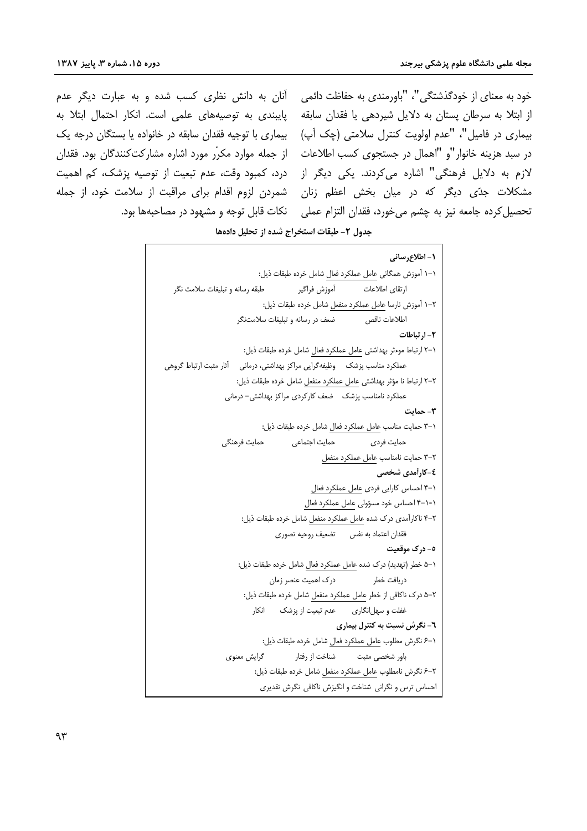درد، کمبود وقت، عدم تبعیت از توصیه پزشک، کم اهمیت

خود به معنای از خودگذشتگی"، "باورمندی به حفاظت دائمی ِ آنان به دانش نظری کسب شده و به عبارت دیگر عدم از ابتلا به سرطان پستان به دلایل شیردهی یا فقدان سابقه پایبندی به توصیههای علمی است. انکار احتمال ابتلا به بیماری در فامیل"، "عدم اولویت کنترل سلامتی (چک آپ) پیماری با توجیه فقدان سابقه در خانواده یا بستگان درجه یک در سبد هزینه خانوار"و "اهمال در جستجوی کسب اطلاعات ه از جمله موارد مکرّر مورد اشاره مشارکتکنندگان بود. فقدان لازم به دلایل فرهنگی" اشاره می *ک*ردند. یکی دیگر از مشکلات جدّی دیگر که در میان بخش اعظم زنان شمردن لزوم اقدام برای مراقبت از سلامت خود، از جمله تحصيل كرده جامعه نيز به چشم مي خورد، فقدان التزام عملي \_ نكات قابل توجه و مشهود در مصاحبهها بود.

جدول ٢- طبقات استخراج شده از تحليل دادهها

```
١- اطلاع, ساني
                            ١-١ أموزش همگاني عامل عملكرد فعال شامل خرده طبقات ذيل:
  طبقه رسانه و تبلیغات سلامت نگر
                                                           ارتقاى اطلاعات
                                       آموزش فراگير
                             ٢–١ أموزش نارسا عامل عملكرد منفعل شامل خرده طبقات ذيل:
                                                           اطلاعات ناقص
                     ضعف در رسانه و تبلیغات سلامتنگر
                                                                      ٢- ا, تىاطات
                      ١–٢ ارتباط موءثر بهداشتي عامل عملكرد فعال شامل خرده طبقات ذيل:
عملکرد مناسب پزشک ۔ وظیفهگرایی مراکز بهداشتی، درمانی ۔ آثار مثبت ارتباط گروهی
                     ٢-٢ ارتباط نا مؤثر بهداشتى عامل عملكرد منفعل شامل خرده طبقات ذيل:
                  عملکرد نامناسب پزشک _ ضعف کارکردی مراکز بهداشتی– درمانی
                                                                        ۳- حمایت
                             ٠-٣ حمايت مناسب عامل عملكرد فعال شامل خرده طبقات ذيل:
                 حمايت فرهنگي
                                   حمايت اجتماعي
                                                             حمایت فردی
                                               ٢-٣ حمايت نامناسب عامل عملكرد منفعل
                                                               ٤-كارأمدى شخصى
                                           ١-۴ احساس كارايي فردي عامل عملكرد فعال
                                         ۰-۱-۴ احساس خود مسؤولی عامل عملکرد فعال
                      ۲-۴ ناکارآمدی درک شده عامل عملکرد منفعل شامل خرده طبقات ذیل:
                                 فقدان اعتماد به نفس تضعيف روحيه تصورى
                                                                  ٥- درک موقعیت
                     ۰–۵ خطر (تهدید) درک شده عامل عملکرد فعال شامل خرده طبقات ذیل:
                               درک اهمیت عنصر زمان
                                                              دريافت خطر
                      ۲–۵ درک ناکافی از خطر عامل عملکرد منفعل شامل خرده طبقات ذیل:
                          غفلت و سهل|نگاری معدم تبعیت از پزشک انکار
                                                   ٦- نگرش نسبت به کنترل بیماری
                            ١-۶ نگرش مطلوب عامل عملكرد فعال شامل خرده طبقات ذيل:
                  گرایش معنوی
                                      باور شخصی مثبت مشناخت از رفتار
                          ٢–۶ نگرش نامطلوب عامل عملكرد منفعل شامل خرده طبقات ذيل:
                            احساس ترس و نگرانی شناخت و انگیزش ناکافی نگرش تقدیری
```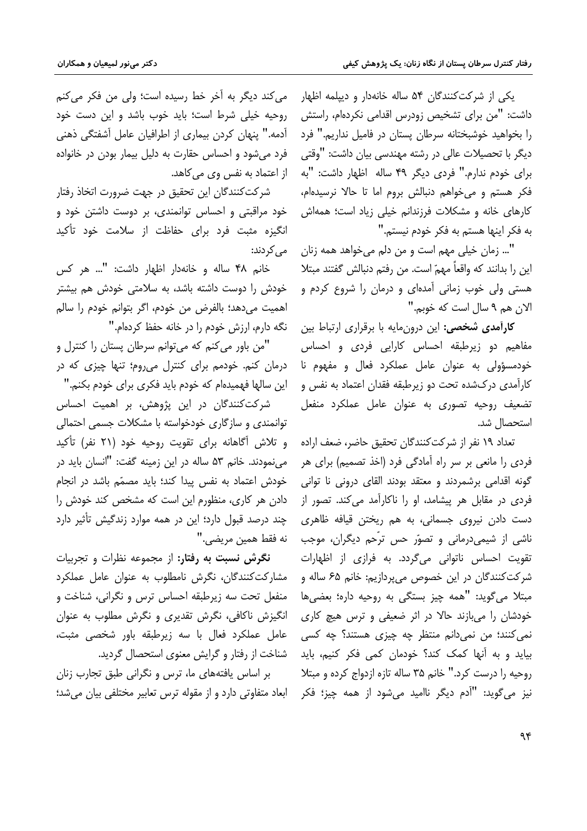یکی از شرکتکنندگان ۵۴ ساله خانهدار و دیپلمه اظهار داشت: "من برای تشخیص زودرس اقدامی نکردهام، راستش را بخواهید خوشبختانه سرطان پستان در فامیل نداریم." فرد دیگر با تحصیلات عالی در رشته مهندسی بیان داشت: "وقتی برای خودم ندارم." فردی دیگر ۴۹ ساله اظهار داشت: "به فكر هستم و مى خواهم دنبالش بروم اما تا حالا نرسيدهام، کارهای خانه و مشکلات فرزندانم خیلی زیاد است؛ همهاش به فكر اينها هستم به فكر خودم نيستم."

"... زمان خیلی مهم است و من دلم میخواهد همه زنان این را بدانند که واقعاً مهمّ است. من رفتم دنبالش گفتند مبتلا هستی ولی خوب زمانی آمدهای و درمان را شروع کردم و الان هم ۹ سال است که خوبم."

كارآمدى شخصى: اين درونمايه با برقرارى ارتباط بين مفاهیم دو زیرطبقه احساس کارایی فردی و احساس خودمسؤولی به عنوان عامل عملکرد فعال و مفهوم نا کارآمدی درکشده تحت دو زیرطبقه فقدان اعتماد به نفس و تضعیف روحیه تصوری به عنوان عامل عملکرد منفعل استحصال شد.

تعداد ١٩ نفر از شركتكنندگان تحقيق حاضر، ضعف اراده فردی را مانعی بر سر راه آمادگی فرد (اخذ تصمیم) برای هر گونه اقدامی برشمردند و معتقد بودند القای درونی نا توانی فردی در مقابل هر پیشامد، او را ناکارآمد می کند. تصور از دست دادن نیروی جسمانی، به هم ریختن قیافه ظاهری ناشی از شیمیدرمانی و تصوّر حس ترّحم دیگران، موجب تقویت احساس ناتوانی میگردد. به فرازی از اظهارات شرکتکنندگان در این خصوص میپردازیم: خانم ۶۵ ساله و مبتلا مي گويد: "همه چيز بستگي به روحيه داره؛ بعضي ها خودشان را میبازند حالا در اثر ضعیفی و ترس هیچ کاری نمي کنند؛ من نمي دانم منتظر چه چيزې هستند؟ چه کسي بیاید و به آنها کمک کند؟ خودمان کمی فکر کنیم، باید روحیه را درست کرد." خانم ۳۵ ساله تازه ازدواج کرده و مبتلا نيز مي گويد: "آدم ديگر نااميد مي شود از همه چيز؛ فكر

مي كند ديگر به آخر خط رسيده است؛ ولي من فكر مي كنم روحیه خیلی شرط است؛ باید خوب باشد و این دست خود آدمه." پنهان کردن بیماری از اطرافیان عامل آشفتگی ذهنی فرد می شود و احساس حقارت به دلیل بیمار بودن در خانواده از اعتماد به نفس وی می کاهد.

شركتكنندگان اين تحقيق در جهت ضرورت اتخاذ رفتار خود مراقبتی و احساس توانمندی، بر دوست داشتن خود و انگیزه مثبت فرد برای حفاظت از سلامت خود تأکید مے کردند:

خانم ۴۸ ساله و خانهدار اظهار داشت: "... هر کس خودش را دوست داشته باشد، به سلامتی خودش هم بیشتر اهميت مى دهد؛ بالفرض من خودم، اگر بتوانم خودم را سالم نگه دارم، ارزش خودم را در خانه حفظ کردهام."

"من باور می کنم که می توانم سرطان پستان را کنترل و درمان کنم. خودمم برای کنترل می روم؛ تنها چیزی که در این سالها فهمیدهام که خودم باید فکری برای خودم بکنم."

شرکتکنندگان در این پژوهش، بر اهمیت احساس توانمندی و سازگاری خودخواسته با مشکلات جسمی احتمالی و تلاش آگاهانه برای تقویت روحیه خود (۲۱ نفر) تأکید می نمودند. خانم ۵۳ ساله در این زمینه گفت: "انسان باید در خودش اعتماد به نفس پیدا کند؛ باید مصمّم باشد در انجام دادن هر کاری، منظورم این است که مشخص کند خودش را چند درصد قبول دارد؛ این در همه موارد زندگیش تأثیر دارد نه فقط همین مریضی."

نگرش نسبت به رفتار: از مجموعه نظرات و تجربیات مشارکتکنندگان، نگرش نامطلوب به عنوان عامل عملکرد منفعل تحت سه زیرطبقه احساس ترس و نگرانی، شناخت و انگیزش ناکافی، نگرش تقدیری و نگرش مطلوب به عنوان عامل عملكرد فعال با سه زيرطبقه باور شخصى مثبت، شناخت از رفتار و گرایش معنوی استحصال گردید.

بر اساس یافتههای ما، ترس و نگرانی طبق تجارب زنان ابعاد متفاوتی دارد و از مقوله ترس تعابیر مختلفی بیان می شد؛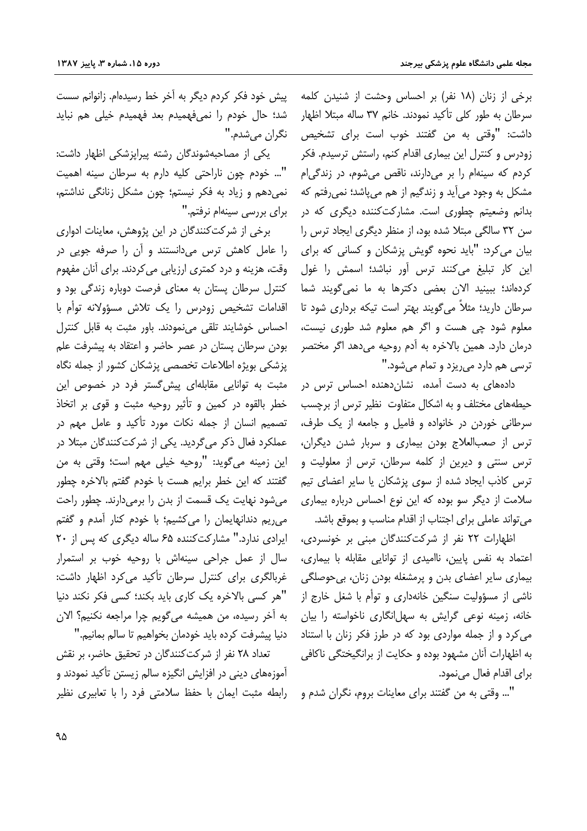برخی از زنان (۱۸ نفر) بر احساس وحشت از شنیدن کلمه سرطان به طور کلی تأکید نمودند. خانم ۳۷ ساله مبتلا اظهار داشت: "وقتی به من گفتند خوب است برای تشخیص زودرس و کنترل این بیماری اقدام کنم، راستش ترسیدم. فکر کردم که سینهام را بر میدارند، ناقص می شوم، در زندگی ام مشکل به وجود میآید و زندگیم از هم میپاشد؛ نمیرفتم که بدانم وضعیتم چطوری است. مشارکتکننده دیگری که در سن ٣٢ سالگي مبتلا شده بود، از منظر ديگري ايجاد ترس را بیان می کرد: "باید نحوه گویش پزشکان و کسانی که برای این کار تبلیغ میکنند ترس آور نباشد؛ اسمش را غول کردهاند؛ ببینید الان بعضی دکترها به ما نمی *گ*ویند شما سرطان دارید؛ مثلاً می گویند بهتر است تیکه برداری شود تا معلوم شود چی هست و اگر هم معلوم شد طوری نیست، درمان دارد. همین بالاخره به آدم روحیه میدهد اگر مختصر ترسی هم دارد می ریزد و تمام می شود."

دادههای به دست آمده، نشان دهنده احساس ترس در حیطههای مختلف و به اشکال متفاوت نظیر ترس از برچسب سرطانی خوردن در خانواده و فامیل و جامعه از یک طرف، ترس از صعبالعلاج بودن بیماری و سربار شدن دیگران، ترس سنتی و دیرین از کلمه سرطان، ترس از معلولیت و ترس كاذب ايجاد شده از سوى پزشكان يا ساير اعضاى تيم سلامت از دیگر سو بوده که این نوع احساس درباره بیماری می تواند عاملی برای اجتناب از اقدام مناسب و بموقع باشد.

اظهارات ٢٢ نفر از شركت كنندگان مبنى بر خونسردى، اعتماد به نفس پایین، ناامیدی از توانایی مقابله با بیماری، بیماری سایر اعضای بدن و پرمشغله بودن زنان، بیحوصلگی ناشی از مسؤولیت سنگین خانهداری و توأم با شغل خارج از خانه، زمینه نوعی گرایش به سهلانگاری ناخواسته را بیان می کرد و از جمله مواردی بود که در طرز فکر زنان با استناد به اظهارات آنان مشهود بوده و حکایت از برانگیختگی ناکافی برای اقدام فعال می نمود.

"... وقتی به من گفتند برای معاینات بروم، نگران شدم و

ییش خود فکر کردم دیگر به آخر خط رسیدهام. زانوانم سست شد؛ حال خودم را نمیفهمیدم بعد فهمیدم خیلی هم نباید نگران مي شدم."

یکی از مصاحبهشوندگان رشته پیراپزشکی اظهار داشت: "... خودم چون ناراحتی کلیه دارم به سرطان سینه اهمیت نمی دهم و زیاد به فکر نیستم؛ چون مشکل زنانگی نداشتم، برای بررسی سینهام نرفتم."

برخی از شرکتکنندگان در این پژوهش، معاینات ادواری را عامل کاهش ترس میدانستند و آن را صرفه جویی در وقت، هزینه و درد کمتری ارزیابی می کردند. برای آنان مفهوم کنترل سرطان پستان به معنای فرصت دوباره زندگی بود و اقدامات تشخیص زودرس را یک تلاش مسؤولانه توأم با احساس خوشایند تلقی می نمودند. باور مثبت به قابل کنترل بودن سرطان پستان در عصر حاضر و اعتقاد به پیشرفت علم پزشکی بویژه اطلاعات تخصصی پزشکان کشور از جمله نگاه مثبت به توانایی مقابلهای پیش گستر فرد در خصوص این خطر بالقوه در كمين و تأثير روحيه مثبت و قوى بر اتخاذ تصمیم انسان از جمله نکات مورد تأکید و عامل مهم در عملکرد فعال ذکر می گردید. یکی از شرکت کنندگان مبتلا در اين زمينه مي گويد: "روحيه خيلي مهم است؛ وقتي به من گفتند که این خطر برایم هست با خودم گفتم بالاخره چطور می شود نهایت یک قسمت از بدن را برمی دارند. چطور راحت می ریم دندانهایمان را میکشیم؛ با خودم کنار آمدم و گفتم ایرادی ندارد." مشارکتکننده ۶۵ ساله دیگری که پس از ۲۰ سال از عمل جراحی سینهاش با روحیه خوب بر استمرار غربالگری برای کنترل سرطان تأکید می کرد اظهار داشت: "هر کسی بالاخره یک کاری باید بکند؛ کسی فکر نکند دنیا به آخر رسیده، من همیشه می گویم چرا مراجعه نکنیم؟ الان دنيا پيشرفت كرده بايد خودمان بخواهيم تا سالم بمانيم."

تعداد ۲۸ نفر از شرکتکنندگان در تحقیق حاضر، بر نقش ۔<br>آموزمھا*ی* دینی در افزایش انگیزہ سالم زیستن تأکید نمودند و رابطه مثبت ایمان با حفظ سلامتی فرد را با تعابیری نظیر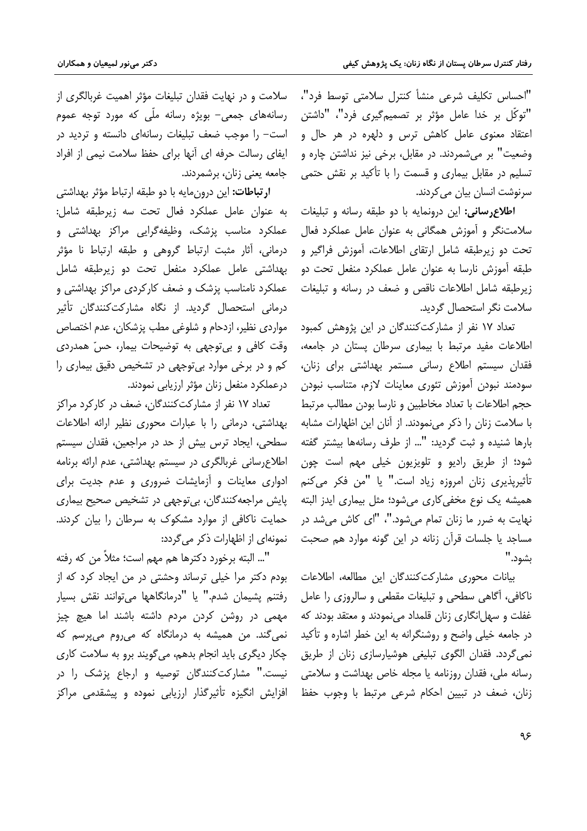"احساس تكليف شرعى منشأ كنترل سلامتى توسط فرد"، "توكّل بر خدا عامل مؤثر بر تصميمگيرى فرد"، "داشتن اعتقاد معنوی عامل کاهش ترس و دلهره در هر حال و وضعیت" بر میشمردند. در مقابل، برخی نیز نداشتن چاره و تسلیم در مقابل بیماری و قسمت را با تأکید بر نقش حتمی سرنوشت انسان بیان می کردند.

**اطلاع رسانی:** این درونمایه با دو طبقه رسانه و تبلیغات سلامتنگر و آموزش همگانی به عنوان عامل عملکرد فعال تحت دو زیرطبقه شامل ارتقای اطلاعات، آموزش فراگیر و طبقه آموزش نارسا به عنوان عامل عملکرد منفعل تحت دو زيرطبقه شامل اطلاعات ناقص وضعف در رسانه و تبليغات سلامت نگر استحصال گردید.

تعداد ۱۷ نفر از مشارکتکنندگان در این پژوهش کمبود اطلاعات مفید مرتبط با بیماری سرطان پستان در جامعه، فقدان سیستم اطلاع رسانی مستمر بهداشتی برای زنان، سودمند نبودن آموزش تئوري معاينات لازم، متناسب نبودن حجم اطلاعات با تعداد مخاطبین و نارسا بودن مطالب مرتبط با سلامت زنان را ذکر مینمودند. از آنان این اظهارات مشابه بارها شنیده و ثبت گردید: "... از طرف رسانهها بیشتر گفته شود؛ از طريق راديو و تلويزيون خيلي مهم است چون تأثیریذیری زنان امروزه زیاد است." یا "من فکر می کنم همیشه یک نوع مخفی کاری میشود؛ مثل بیماری ایدز البته نهایت به ضرر ما زنان تمام می شود."، "ای کاش می شد در مساجد یا جلسات قرآن زنانه در این گونه موارد هم صحبت ىشود."

بیانات محوری مشارکتکنندگان این مطالعه، اطلاعات ناکافی، آگاهی سطحی و تبلیغات مقطعی و سالروزی را عامل .<br>غفلت و سهل|نگاری زنان قلمداد می نمودند و معتقد بودند که در جامعه خیلی واضح و روشنگرانه به این خطر اشاره و تأکید نمی گردد. فقدان الگوی تبلیغی هوشیارسازی زنان از طریق رسانه ملي، فقدان روزنامه يا مجله خاص بهداشت و سلامتي زنان، ضعف در تبیین احکام شرعی مرتبط با وجوب حفظ

سلامت و در نهایت فقدان تبلیغات مؤثر اهمیت غربالگری از رسانههای جمعی- بویژه رسانه ملّی که مورد توجه عموم است– را موجب ضعف تبلیغات رسانهای دانسته و تردید در ایفای رسالت حرفه ای آنها برای حفظ سلامت نیمی از افراد جامعه يعنى زنان، برشمردند.

ا**رتباطات:** این درون مایه با دو طبقه ارتباط مؤثر بهداشتی به عنوان عامل عملكرد فعال تحت سه زيرطبقه شامل: عملکرد مناسب پزشک، وظیفهگرایی مراکز بهداشتی و درمانی، آثار مثبت ارتباط گروهی و طبقه ارتباط نا مؤثر بهداشتی عامل عملکرد منفعل تحت دو زیرطبقه شامل عملکرد نامناسب پزشک و ضعف کارکردی مراکز بهداشتی و درمانی استحصال گردید. از نگاه مشارکتکنندگان تأثیر مواردي نظير، ازدحام و شلوغي مطب يزشكان، عدم اختصاص وقت کافی و بی توجهی به توضیحات بیمار، حسّ همدردی کم و در برخی موارد بی توجهی در تشخیص دقیق بیماری را درعملكرد منفعل زنان مؤثر ارزيابي نمودند.

تعداد ۱۷ نفر از مشارکتکنندگان، ضعف در کارکرد مراکز بهداشتی، درمانی را با عبارات محوری نظیر ارائه اطلاعات سطحی، ایجاد ترس بیش از حد در مراجعین، فقدان سیستم اطلاع رسانی غربالگری در سیستم بهداشتی، عدم ارائه برنامه ادواری معاینات و آزمایشات ضروری و عدم جدیت برای پایش مراجعه کنندگان، بی توجهی در تشخیص صحیح بیماری حمایت ناکافی از موارد مشکوک به سرطان را بیان کردند. نمونهای از اظهارات ذکر می گردد:

"... البته برخورد دكترها هم مهم است؛ مثلاً من كه رفته بودم دکتر مرا خیلی ترساند وحشتی در من ایجاد کرد که از رفتنم يشيمان شدم." يا "درمانگاهها مي توانند نقش بسيار مهمی در روشن کردن مردم داشته باشند اما هیچ چیز نمی گند. من همیشه به درمانگاه که می روم می پرسم که چکار دیگری باید انجام بدهم، می گویند برو به سلامت کاری نیست." مشارکتکنندگان توصیه و ارجاع پزشک را در افزایش انگیزه تأثیرگذار ارزیابی نموده و پیشقدمی مراکز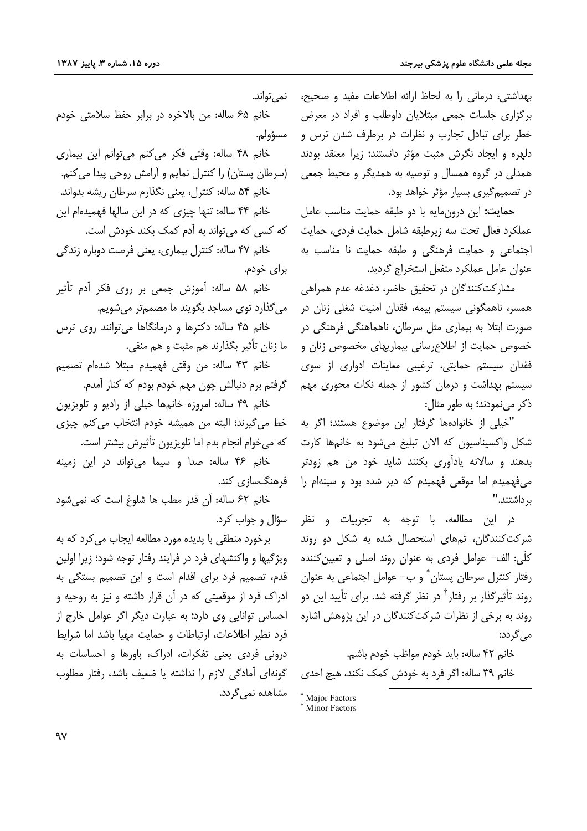بهداشتی، درمانی را به لحاظ ارائه اطلاعات مفید و صحیح، برگزاری جلسات جمعی مبتلایان داوطلب و افراد در معرض خطر برای تبادل تجارب و نظرات در برطرف شدن ترس و دلهره و ایجاد نگرش مثبت مؤثر دانستند؛ زیرا معتقد بودند همدلی در گروه همسال و توصیه به همدیگر و محیط جمعی در تصمیم گیری بسیار مؤثر خواهد بود.

حمايت: اين درون مايه با دو طبقه حمايت مناسب عامل عملكرد فعال تحت سه زيرطبقه شامل حمايت فردى، حمايت اجتماعی و حمایت فرهنگی و طبقه حمایت نا مناسب به عنوان عامل عملكرد منفعل استخراج گرديد.

مشارکتکنندگان در تحقیق حاضر، دغدغه عدم همراهی همسر، ناهمگونی سیستم بیمه، فقدان امنیت شغلی زنان در صورت ابتلا به بیماری مثل سرطان، ناهماهنگی فرهنگی در خصوص حمایت از اطلاع رسانی بیماریهای مخصوص زنان و .<br>فقدان سیستم حمایتی، ترغیبی معاینات ادواری از سوی سیستم بهداشت و درمان کشور از جمله نکات محوری مهم ذکر می نمودند؛ به طور مثال:

"خيلي از خانوادهها گرفتار اين موضوع هستند؛ اگر به شکل واکسیناسیون که الان تبلیغ می شود به خانمها کارت بدهند و سالانه یادآوری بکنند شاید خود من هم زودتر می فهمیدم اما موقعی فهمیدم که دیر شده بود و سینهام را ب داشتند."

در این مطالعه، با توجه به تجربیات و نظر شرکتکنندگان، تمهای استحصال شده به شکل دو روند کلّی: الف– عوامل فردی به عنوان روند اصلی و تعیین کننده رفتار کنترل سرطان پستان ٌ و ب– عوامل اجتماعی به عنوان روند تأثیرگذار بر رفتار<sup>†</sup> در نظر گرفته شد. برای تأیید این دو روند به برخی از نظرات شرکتکنندگان در این پژوهش اشاره مے گردد:

خانم ۴۲ ساله: بايد خودم مواظب خودم باشم. خانم ٣٩ ساله: اگر فرد به خودش کمک نکند، هیچ احدی

\* Maior Factors <sup>†</sup> Minor Factors

نمي تواند. خانم ۶۵ ساله: من بالاخره در برابر حفظ سلامتی خودم مسؤولم. خانم ۴۸ ساله: وقتى فكر مى كنم مى توانم اين بيمارى (سرطان پستان) را کنترل نمایم و آرامش روحی پیدا می کنم. خانم ۵۴ ساله: کنترل، یعنی نگذارم سرطان ریشه بدواند. خانم ۴۴ ساله: تنها چیزی که در این سالها فهمیدهام این که کسی که می تواند به آدم کمک بکند خودش است. خانم ۴۷ ساله: کنترل بیماری، یعنی فرصت دوباره زندگی برای خودم.

خانم ۵۸ ساله: آموزش جمعي بر روي فكر آدم تأثير می گذارد توی مساجد بگویند ما مصممتر می شویم.

خانم ۴۵ ساله: دکترها و درمانگاها میتوانند روی ترس ما زنان تأثیر بگذارند هم مثبت و هم منفی.

.<br>خانم ۴۳ ساله: من وقتى فهميدم مبتلا شدهام تصميم گرفتم برم دنبالش چون مهم خودم بودم که کنار آمدم.

خانم ۴۹ ساله: امروزه خانمها خيلي از راديو و تلويزيون خط مي گيرند؛ البته من هميشه خودم انتخاب مي كنم چيزى كه مي خوام انجام بدم اما تلويزيون تأثيرش بيشتر است.

خانم ۴۶ ساله: صدا و سیما میتواند در این زمینه فرهنگسازی کند.

خانم ٤٢ ساله: أن قدر مطب ها شلوغ است كه نمي شود سؤال و جواب کرد.

برخورد منطقی با پدیده مورد مطالعه ایجاب می کرد که به ویژگیها و واکنشهای فرد در فرایند رفتار توجه شود؛ زیرا اولین قدم، تصمیم فرد برای اقدام است و این تصمیم بستگی به ادراک فرد از موقعیتی که در آن قرار داشته و نیز به روحیه و احساس توانایی وی دارد؛ به عبارت دیگر اگر عوامل خارج از فرد نظیر اطلاعات، ارتباطات و حمایت مهیا باشد اما شرایط درونی فردی یعنی تفکرات، ادراک، باورها و احساسات به گونهای آمادگی لازم را نداشته یا ضعیف باشد، رفتار مطلوب مشاهده نمی گردد.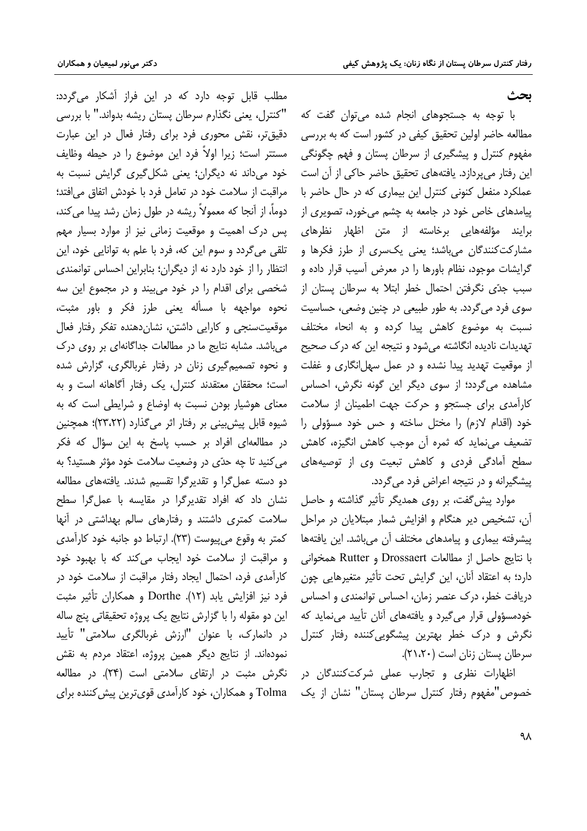#### ىحث

با توجه به جستجوهای انجام شده می توان گفت که مطالعه حاضر اولین تحقیق کیفی در کشور است که به بررسی مفهوم کنترل و پیشگیری از سرطان پستان و فهم چگونگی این رفتار می پردازد. یافتههای تحقیق حاضر حاکی از آن است عملکرد منفعل کنونی کنترل این بیماری که در حال حاضر با پیامدهای خاص خود در جامعه به چشم میخورد، تصویری از برایند مؤلفههایی برخاسته از متن اظهار نظرهای مشارکتکنندگان میباشد؛ یعنی یکسری از طرز فکرها و گرایشات موجود، نظام باورها را در معرض آسیب قرار داده و سبب جدّی نگرفتن احتمال خطر ابتلا به سرطان پستان از سوی فرد میگردد. به طور طبیعی در چنین وضعی، حساسیت نسبت به موضوع کاهش پیدا کرده و به انحاء مختلف تهدیدات نادیده انگاشته میشود و نتیجه این که درک صحیح از موقعیت تهدید پیدا نشده و در عمل سهلانگاری و غفلت مشاهده می گردد؛ از سوی دیگر این گونه نگرش، احساس کارآمدی برای جستجو و حرکت جهت اطمینان از سلامت خود (اقدام لازم) را مختل ساخته و حس خود مسؤولی را تضعیف می نماید که ثمره آن موجب کاهش انگیزه، کاهش سطح آمادگی فردی و کاهش تبعیت وی از توصیههای پیشگیرانه و در نتیجه اعراض فرد می گردد.

موارد پیش گفت، بر روی همدیگر تأثیر گذاشته و حاصل آن، تشخیص دیر هنگام و افزایش شمار مبتلایان در مراحل ییشرفته بیماری و پیامدهای مختلف آن میباشد. این یافتهها با نتايج حاصل از مطالعات Drossaert و Rutter همخواني دارد؛ به اعتقاد آنان، این گرایش تحت تأثیر متغیرهایی چون دریافت خطر، درک عنصر زمان، احساس توانمندی و احساس خودمسؤولی قرار می گیرد و یافتههای آنان تأیید می نماید که نگرش و درک خطر بهترین پیشگویی کننده رفتار کنترل سرطان يستان زنان است (٢١،٢٠).

اظهارات نظری و تجارب عملی شرکتکنندگان در خصوص"مفهوم رفتار كنترل سرطان يستان" نشان از يک

مطلب قابل توجه دارد که در این فراز آشکار می گردد: "كنترل، يعني نگذارم سرطان پستان ريشه بدواند." با بررسي دقیق تر، نقش محوری فرد برای رفتار فعال در این عبارت مستتر است؛ زیرا اولاً فرد این موضوع را در حیطه وظایف خود می داند نه دیگران؛ یعنی شکل گیری گرایش نسبت به مراقبت از سلامت خود در تعامل فرد با خودش اتفاق می افتد؛ دوماً، از آنجا که معمولاً ریشه در طول زمان رشد پیدا می کند، پس درک اهمیت و موقعیت زمانی نیز از موارد بسیار مهم تلقی میگردد و سوم این که، فرد با علم به توانایی خود، این انتظار را از خود دارد نه از دیگران؛ بنابراین احساس توانمندی شخصی برای اقدام را در خود می بیند و در مجموع این سه نحوه مواجهه با مسأله يعني طرز فكر و باور مثبت، موقعیتسنجی و کارایی داشتن، نشان دهنده تفکر رفتار فعال میباشد. مشابه نتایج ما در مطالعات جداگانهای بر روی درک و نحوه تصمیمگیری زنان در رفتار غربالگری، گزارش شده است؛ محققان معتقدند كنترل، یک رفتار آگاهانه است و به معنای هوشیار بودن نسبت به اوضاع و شرایطی است که به شیوه قابل پیش بینی بر رفتار اثر میگذارد (۲۳،۲۲)؛ همچنین در مطالعهای افراد بر حسب یاسخ به این سؤال که فکر می کنید تا چه حدّی در وضعیت سلامت خود مؤثر هستید؟ به دو دسته عمل گرا و تقدیرگرا تقسیم شدند. یافتههای مطالعه نشان داد که افراد تقدیرگرا در مقایسه با عمل گرا سطح سلامت کمتری داشتند و رفتارهای سالم بهداشتی در آنها کمتر به وقوع می پیوست (٢٣). ارتباط دو جانبه خود کارآمدی و مراقبت از سلامت خود ایجاب می کند که با بهبود خود كارآمدي فرد، احتمال ايجاد رفتار مراقبت از سلامت خود در فرد نيز افزايش يابد (١٢). Dorthe و همكاران تأثير مثبت این دو مقوله را با گزارش نتایج یک پروژه تحقیقاتی پنج ساله در دانمارک، با عنوان "ارزش غربالگری سلامتی" تأیید نمودهاند. از نتایج دیگر همین پروژه، اعتقاد مردم به نقش نگرش مثبت در ارتقای سلامتی است (۲۴). در مطالعه Tolma و همکاران، خود کارآمدی قوی ترین پیش کننده برای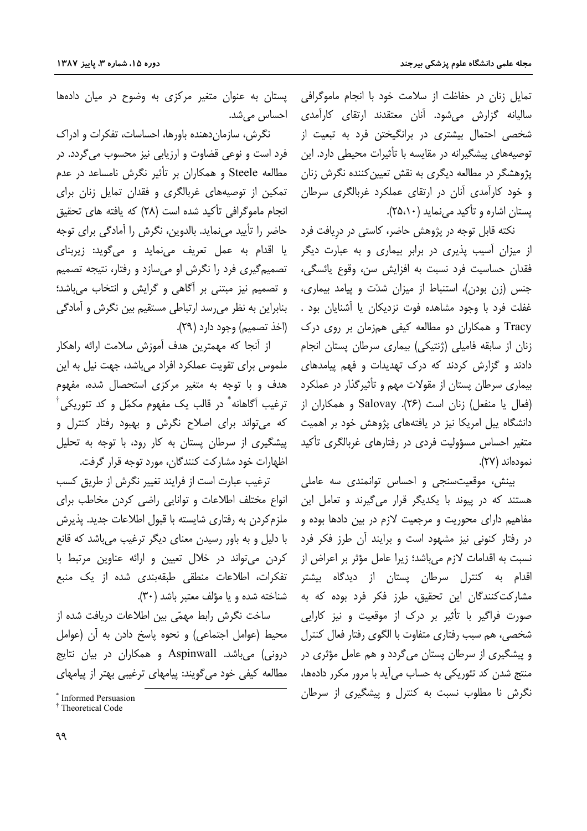تمایل زنان در حفاظت از سلامت خود با انجام ماموگرافی پستان به عنوان متغیر مرکزی به وضوح در میان دادهها سالیانه گزارش میشود. آنان معتقدند ارتقای کارآمدی شخصی احتمال بیشتری در برانگیختن فرد به تبعیت از توصیههای پیشگیرانه در مقایسه با تأثیرات محیطی دارد. این یژوهشگر در مطالعه دیگری به نقش تعیین کننده نگرش زنان و خود کارآمدی آنان در ارتقای عملکرد غربالگری سرطان یستان اشاره و تأکید می نماید (۲۵،۱۰).

نکته قابل توجه در پژوهش حاضر، کاستی در دریافت فرد از میزان آسیب پذیری در برابر بیماری و به عبارت دیگر فقدان حساسيت فرد نسبت به افزايش سن، وقوع يائسگي، جنس (زن بودن)، استنباط از میزان شدّت و پیامد بیماری، .<br>غفلت فرد با وجود مشاهده فوت نزدیکان یا آشنایان بود . Tracy و همکاران دو مطالعه کیفی همزمان بر روی درک زنان از سابقه فامیلی (ژنتیکی) بیماری سرطان پستان انجام دادند و گزارش کردند که درک تهدیدات و فهم پیامدهای بیماری سرطان پستان از مقولات مهم و تأثیرگذار در عملکرد (فعال یا منفعل) زنان است (۲۶). Salovay و همکاران از دانشگاه پیل امریکا نیز در یافتههای پژوهش خود بر اهمیت متغیر احساس مسؤولیت فردی در رفتارهای غربالگری تأکید نمودهاند (٢٧).

بینش، موقعیتسنجی و احساس توانمندی سه عاملی هستند که در پیوند با یکدیگر قرار میگیرند و تعامل این مفاهیم دارای محوریت و مرجعیت لازم در بین دادها بوده و در رفتار کنونی نیز مشهود است و برایند آن طرز فکر فرد نسبت به اقدامات لازم می باشد؛ زیرا عامل مؤثر بر اعراض از اقدام به کنترل سرطان پستان از دیدگاه بیشتر مشارکتکنندگان این تحقیق، طرز فکر فرد بوده که به صورت فراگیر با تأثیر بر درک از موقعیت و نیز کارایی شخصی، هم سبب رفتاری متفاوت با الگوی رفتار فعال کنترل و پیشگیری از سرطان پستان می گردد و هم عامل مؤثری در منتج شدن کد تئوریکی به حساب می آید با مرور مکرر دادهها، نگرش نا مطلوب نسبت به کنترل و پیشگیری از سرطان

احساس میشد.

نگرش، سازمان،دهنده باورها، احساسات، تفکرات و ادراک فرد است و نوعی قضاوت و ارزیابی نیز محسوب میگردد. در مطالعه Steele و همکاران بر تأثیر نگرش نامساعد در عدم تمکین از توصیههای غربالگری و فقدان تمایل زنان برای انجام ماموگرافی تأکید شده است (۲۸) که یافته های تحقیق حاضر را تأييد مي نمايد. بالدوين، نگرش را آمادگي براي توجه یا اقدام به عمل تعریف می نماید و میگوید: زیربنای تصمیم گیری فرد را نگرش او میسازد و رفتار، نتیجه تصمیم و تصمیم نیز مبتنی بر آگاهی و گرایش و انتخاب می باشد؛ بنابراین به نظر می رسد ارتباطی مستقیم بین نگرش و آمادگی (اخذ تصميم) وجود دارد (٢٩).

از آنجا که مهمترین هدف آموزش سلامت ارائه راهکار ملموس برای تقویت عملکرد افراد میباشد، جهت نیل به این هدف و با توجه به متغیر مرکزی استحصال شده، مفهوم ترغيب اَگاهانه ٌ در قالب يک مفهوم مکمّل و کد تئوريکي ُ<sup>†</sup> که می تواند برای اصلاح نگرش و بهبود رفتار کنترل و پیشگیری از سرطان پستان به کار رود، با توجه به تحلیل اظهارات خود مشارکت کنندگان، مورد توجه قرار گرفت.

ترغيب عبارت است از فرايند تغيير نگرش از طريق كسب انواع مختلف اطلاعات وتوانايي راضى كردن مخاطب براى ملزم کردن به رفتاری شایسته با قبول اطلاعات جدید. پذیرش با دلیل و به باور رسیدن معنای دیگر ترغیب می باشد که قانع کردن می تواند در خلال تعیین و ارائه عناوین مرتبط با تفكرات، اطلاعات منطقى طبقهبندى شده از يک منبع شناخته شده و یا مؤلف معتبر باشد (٣٠).

ساخت نگرش رابط مهمّی بین اطلاعات دریافت شده از محيط (عوامل اجتماعي) و نحوه ياسخ دادن به آن (عوامل درونی) میباشد. Aspinwall و همکاران در بیان نتایج مطالعه کیفی خود می گویند: پیامهای ترغیبی بهتر از پیامهای

<sup>\*</sup> Informed Persuasion

<sup>&</sup>lt;sup>†</sup> Theoretical Code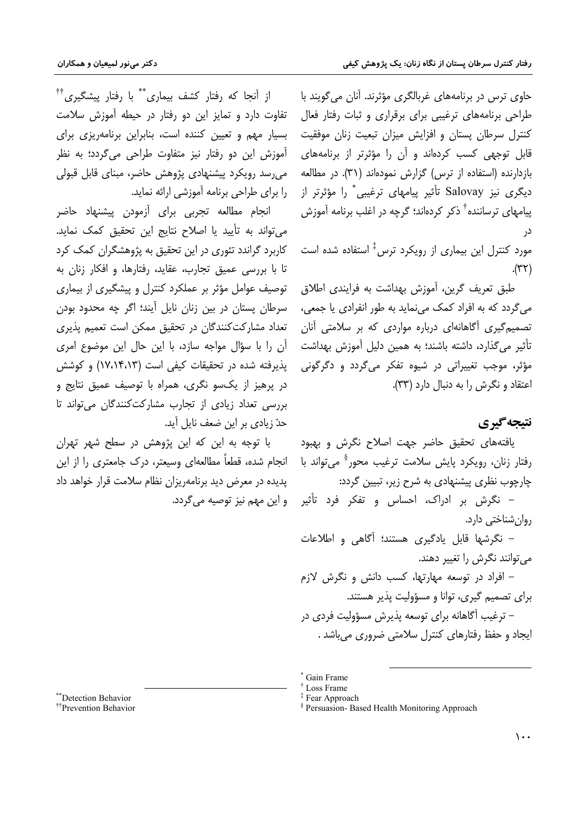حاوی ترس در برنامههای غربالگری مؤثرند. آنان می گویند با طراحی برنامههای ترغیبی برای برقراری و ثبات رفتار فعال کنترل سرطان پستان و افزایش میزان تبعیت زنان موفقیت قابل توجهی کسب کردهاند و آن را مؤثرتر از برنامههای بازدارنده (استفاده از ترس) گزارش نمودهاند (۳۱). در مطالعه دیگری نیز Salovay تأثیر پیامهای ترغیبی ٌ را مؤثرتر از پیامهای ترساننده<sup>†</sup> ذکر کردهاند؛ گرچه در اغلب برنامه آموزش در

مورد کنترل این بیماری از رویکرد ترس<sup>‡</sup> استفاده شده است  $(\forall \Upsilon).$ 

طبق تعريف گرين، آموزش بهداشت به فرايندي اطلاق مي گردد كه به افراد كمک مي نمايد به طور انفرادي يا جمعي، تصمیم گیری آگاهانهای درباره مواردی که بر سلامتی آنان تأثیر میگذارد، داشته باشند؛ به همین دلیل آموزش بهداشت مؤثر، موجب تغییراتی در شیوه تفکر میگردد و دگرگونی اعتقاد و نگرش را به دنبال دارد (۳۳).

## نتيجه گيري

یافتههای تحقیق حاضر جهت اصلاح نگرش و بهبود رفتار زنان، رويكرد پايش سلامت ترغيب محور<sup>\$</sup> مي تواند با چارچوب نظری پیشنهادی به شرح زیر، تبیین گردد:

– نگرش بر ادراک، احساس و تفکر فرد تأثیر روان شناختی دارد.

– نگرشها قابل یادگیری هستند؛ آگاهی و اطلاعات می توانند نگرش را تغییر دهند.

– افراد در توسعه مهارتها، کسب دانش و نگرش لازم برای تصمیم گیری، توانا و مسؤولیت پذیر هستند. – ترغیب آگاهانه برای توسعه پذیرش مسؤولیت فردی در

ایجاد و حفظ رفتارهای کنترل سلامتی ضروری می باشد .

از آنجا که رفتار کشف بیماری<sup>\*\*</sup> با رفتار پیشگیری<sup>††</sup> تفاوت دارد و تمایز این دو رفتار در حیطه آموزش سلامت بسیار مهم و تعیین کننده است، بنابراین برنامهریزی برای آموزش این دو رفتار نیز متفاوت طراحی میگردد؛ به نظر می رسد رویکرد پیشنهادی پژوهش حاضر، مبنای قابل قبولی را برای طراحی برنامه آموزشی ارائه نماید.

انجام مطالعه تجربی برای آزمودن پیشنهاد حاضر می تواند به تأیید یا اصلاح نتایج این تحقیق کمک نماید. کاربرد گراندد تئوری در این تحقیق به پژوهشگران کمک کرد تا با بررسی عمیق تجارب، عقاید، رفتارها، و افکار زنان به توصیف عوامل مؤثر بر عملکرد کنترل و پیشگیری از بیماری سرطان پستان در بین زنان نایل آیند؛ اگر چه محدود بودن تعداد مشاركت كنندگان در تحقيق ممكن است تعميم يذيرى آن را با سؤال مواجه سازد، با این حال این موضوع امری یذیرفته شده در تحقیقات کیفی است (۱۷،۱۴،۱۳) و کوشش در پرهيز از يکسو نگري، همراه با توصيف عميق نتايج و بررسی تعداد زیادی از تجارب مشارکتکنندگان می تواند تا حدّ زیادی بر این ضعف نایل آید.

با توجه به این که این پژوهش در سطح شهر تهران انجام شده، قطعاً مطالعه|ی وسیعتر، درک جامعتری را از این یدیده در معرض دید برنامهریزان نظام سلامت قرار خواهد داد و این مهم نیز توصیه میگردد.

\*\*\*Detection Behavior

<sup>\*</sup> Gain Frame

<sup>&</sup>lt;sup>†</sup> Loss Frame

<sup>&</sup>lt;sup>‡</sup> Fear Approach

<sup>&</sup>lt;sup>§</sup> Persuasion- Based Health Monitoring Approach

<sup>&</sup>lt;sup>††</sup>Prevention Behavior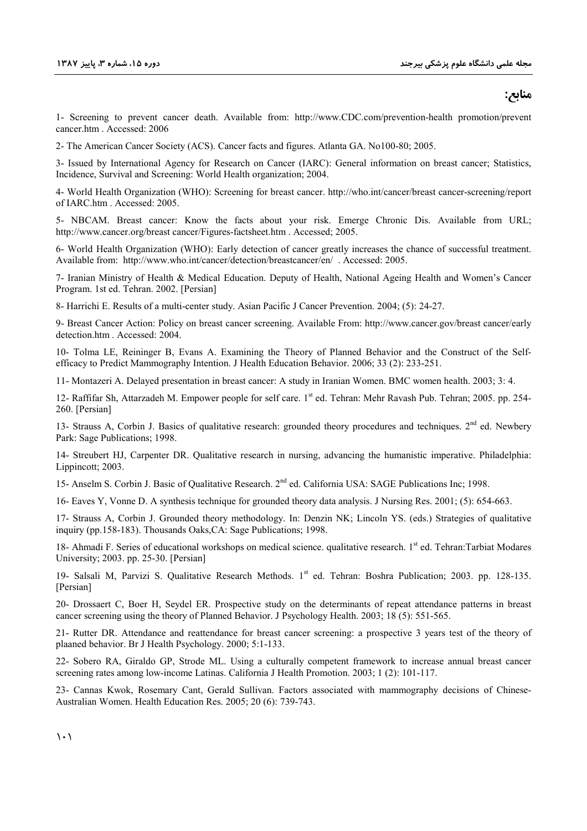## **:;9<**

1- Screening to prevent cancer death. Available from: http://www.CDC.com/prevention-health promotion/prevent cancer.htm . Accessed: 2006

2- The American Cancer Society (ACS). Cancer facts and figures. Atlanta GA. No100-80; 2005.

3- Issued by International Agency for Research on Cancer (IARC): General information on breast cancer; Statistics, Incidence, Survival and Screening: World Health organization; 2004.

4- World Health Organization (WHO): Screening for breast cancer. http://who.int/cancer/breast cancer-screening/report of IARC.htm . Accessed: 2005.

5- NBCAM. Breast cancer: Know the facts about your risk. Emerge Chronic Dis. Available from URL; http://www.cancer.org/breast cancer/Figures-factsheet.htm . Accessed; 2005.

6- World Health Organization (WHO): Early detection of cancer greatly increases the chance of successful treatment. Available from: http://www.who.int/cancer/detection/breastcancer/en/ . Accessed: 2005.

7- Iranian Ministry of Health & Medical Education. Deputy of Health, National Ageing Health and Women's Cancer Program. 1st ed. Tehran. 2002. [Persian]

8- Harrichi E. Results of a multi-center study. Asian Pacific J Cancer Prevention. 2004; (5): 24-27.

9- Breast Cancer Action: Policy on breast cancer screening. Available From: http://www.cancer.gov/breast cancer/early detection.htm . Accessed: 2004.

10- Tolma LE, Reininger B, Evans A. Examining the Theory of Planned Behavior and the Construct of the Selfefficacy to Predict Mammography Intention. J Health Education Behavior. 2006; 33 (2): 233-251.

11- Montazeri A. Delayed presentation in breast cancer: A study in Iranian Women. BMC women health. 2003; 3: 4.

12- Raffifar Sh, Attarzadeh M. Empower people for self care. 1<sup>st</sup> ed. Tehran: Mehr Ravash Pub. Tehran; 2005. pp. 254-260. [Persian]

13- Strauss A, Corbin J. Basics of qualitative research: grounded theory procedures and techniques.  $2<sup>nd</sup>$  ed. Newbery Park: Sage Publications; 1998.

14- Streubert HJ, Carpenter DR. Qualitative research in nursing, advancing the humanistic imperative. Philadelphia: Lippincott; 2003.

15- Anselm S. Corbin J. Basic of Qualitative Research. 2nd ed. California USA: SAGE Publications Inc; 1998.

16- Eaves Y, Vonne D. A synthesis technique for grounded theory data analysis. J Nursing Res. 2001; (5): 654-663.

17- Strauss A, Corbin J. Grounded theory methodology. In: Denzin NK; Lincoln YS. (eds.) Strategies of qualitative inquiry (pp.158-183). Thousands Oaks,CA: Sage Publications; 1998.

18- Ahmadi F. Series of educational workshops on medical science. qualitative research. 1<sup>st</sup> ed. Tehran:Tarbiat Modares University; 2003. pp. 25-30. [Persian]

19- Salsali M, Parvizi S. Qualitative Research Methods. 1st ed. Tehran: Boshra Publication; 2003. pp. 128-135. [Persian]

20- Drossaert C, Boer H, Seydel ER. Prospective study on the determinants of repeat attendance patterns in breast cancer screening using the theory of Planned Behavior. J Psychology Health. 2003; 18 (5): 551-565.

21- Rutter DR. Attendance and reattendance for breast cancer screening: a prospective 3 years test of the theory of plaaned behavior. Br J Health Psychology. 2000; 5:1-133.

22- Sobero RA, Giraldo GP, Strode ML. Using a culturally competent framework to increase annual breast cancer screening rates among low-income Latinas. California J Health Promotion. 2003; 1 (2): 101-117.

23- Cannas Kwok, Rosemary Cant, Gerald Sullivan. Factors associated with mammography decisions of Chinese-Australian Women. Health Education Res. 2005; 20 (6): 739-743.

 $\langle \cdot \rangle$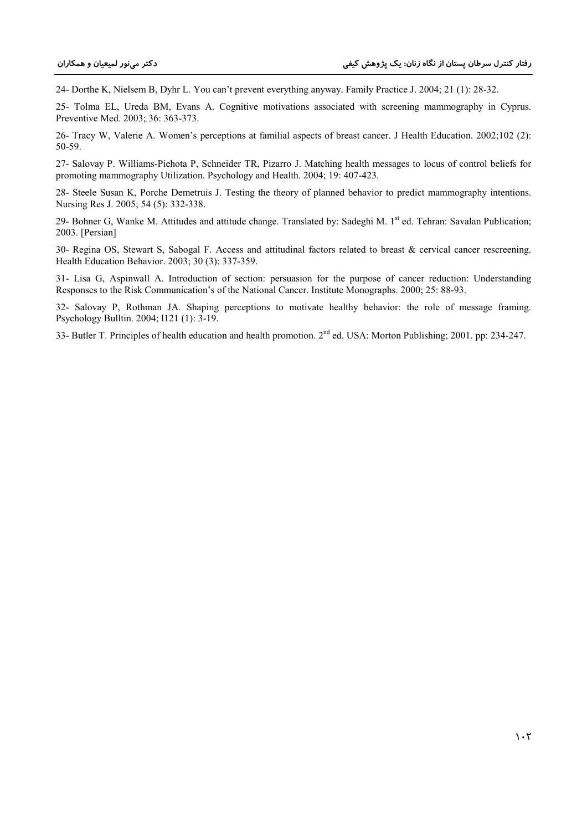24- Dorthe K, Nielsem B, Dyhr L. You can't prevent everything anyway. Family Practice J. 2004; 21 (1): 28-32.

25- Tolma EL, Ureda BM, Evans A. Cognitive motivations associated with screening mammography in Cyprus. Preventive Med. 2003; 36: 363-373.

26- Tracy W, Valerie A. Women's perceptions at familial aspects of breast cancer. J Health Education. 2002;102 (2): 50-59.

27- Salovay P. Williams-Piehota P, Schneider TR, Pizarro J. Matching health messages to locus of control beliefs for promoting mammography Utilization. Psychology and Health. 2004; 19: 407-423.

28- Steele Susan K, Porche Demetruis J. Testing the theory of planned behavior to predict mammography intentions. Nursing Res J. 2005; 54 (5): 332-338.

29- Bohner G, Wanke M. Attitudes and attitude change. Translated by: Sadeghi M. 1<sup>st</sup> ed. Tehran: Savalan Publication; 2003. [Persian]

30- Regina OS, Stewart S, Sabogal F. Access and attitudinal factors related to breast & cervical cancer rescreening. Health Education Behavior. 2003; 30 (3): 337-359.

31- Lisa G, Aspinwall A. Introduction of section: persuasion for the purpose of cancer reduction: Understanding Responses to the Risk Communication's of the National Cancer. Institute Monographs. 2000; 25: 88-93.

32- Salovay P, Rothman JA. Shaping perceptions to motivate healthy behavior: the role of message framing. Psychology Bulltin. 2004; l121 (1): 3-19.

33- Butler T. Principles of health education and health promotion. 2nd ed. USA: Morton Publishing; 2001. pp: 234-247.